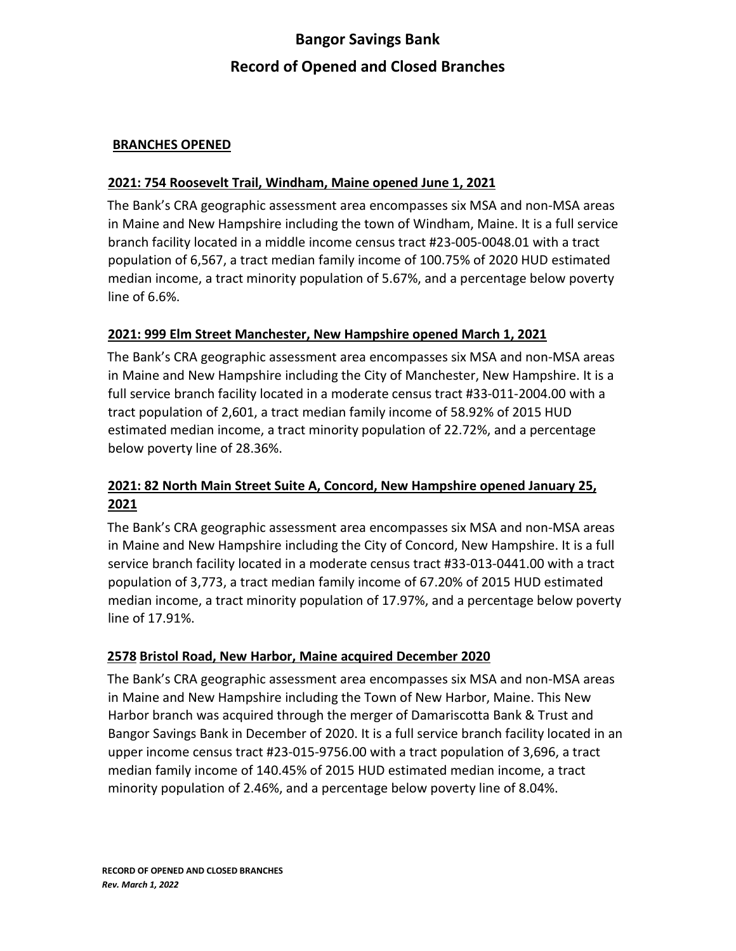# **Bangor Savings Bank Record of Opened and Closed Branches**

#### **BRANCHES OPENED**

#### **2021: 754 Roosevelt Trail, Windham, Maine opened June 1, 2021**

The Bank's CRA geographic assessment area encompasses six MSA and non-MSA areas in Maine and New Hampshire including the town of Windham, Maine. It is a full service branch facility located in a middle income census tract #23-005-0048.01 with a tract population of 6,567, a tract median family income of 100.75% of 2020 HUD estimated median income, a tract minority population of 5.67%, and a percentage below poverty line of 6.6%.

#### **2021: 999 Elm Street Manchester, New Hampshire opened March 1, 2021**

The Bank's CRA geographic assessment area encompasses six MSA and non-MSA areas in Maine and New Hampshire including the City of Manchester, New Hampshire. It is a full service branch facility located in a moderate census tract #33-011-2004.00 with a tract population of 2,601, a tract median family income of 58.92% of 2015 HUD estimated median income, a tract minority population of 22.72%, and a percentage below poverty line of 28.36%.

## **2021: 82 North Main Street Suite A, Concord, New Hampshire opened January 25, 2021**

The Bank's CRA geographic assessment area encompasses six MSA and non-MSA areas in Maine and New Hampshire including the City of Concord, New Hampshire. It is a full service branch facility located in a moderate census tract #33-013-0441.00 with a tract population of 3,773, a tract median family income of 67.20% of 2015 HUD estimated median income, a tract minority population of 17.97%, and a percentage below poverty line of 17.91%.

#### **2578 Bristol Road, New Harbor, Maine acquired December 2020**

The Bank's CRA geographic assessment area encompasses six MSA and non-MSA areas in Maine and New Hampshire including the Town of New Harbor, Maine. This New Harbor branch was acquired through the merger of Damariscotta Bank & Trust and Bangor Savings Bank in December of 2020. It is a full service branch facility located in an upper income census tract #23-015-9756.00 with a tract population of 3,696, a tract median family income of 140.45% of 2015 HUD estimated median income, a tract minority population of 2.46%, and a percentage below poverty line of 8.04%.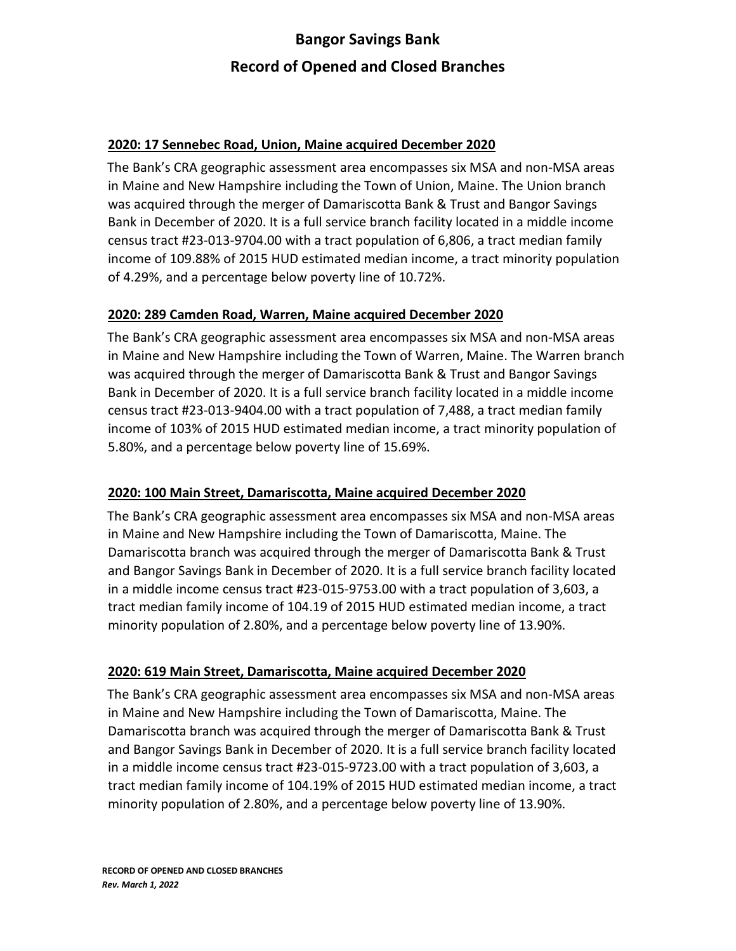# **Bangor Savings Bank Record of Opened and Closed Branches**

#### **2020: 17 Sennebec Road, Union, Maine acquired December 2020**

The Bank's CRA geographic assessment area encompasses six MSA and non-MSA areas in Maine and New Hampshire including the Town of Union, Maine. The Union branch was acquired through the merger of Damariscotta Bank & Trust and Bangor Savings Bank in December of 2020. It is a full service branch facility located in a middle income census tract #23-013-9704.00 with a tract population of 6,806, a tract median family income of 109.88% of 2015 HUD estimated median income, a tract minority population of 4.29%, and a percentage below poverty line of 10.72%.

#### **2020: 289 Camden Road, Warren, Maine acquired December 2020**

The Bank's CRA geographic assessment area encompasses six MSA and non-MSA areas in Maine and New Hampshire including the Town of Warren, Maine. The Warren branch was acquired through the merger of Damariscotta Bank & Trust and Bangor Savings Bank in December of 2020. It is a full service branch facility located in a middle income census tract #23-013-9404.00 with a tract population of 7,488, a tract median family income of 103% of 2015 HUD estimated median income, a tract minority population of 5.80%, and a percentage below poverty line of 15.69%.

#### **2020: 100 Main Street, Damariscotta, Maine acquired December 2020**

The Bank's CRA geographic assessment area encompasses six MSA and non-MSA areas in Maine and New Hampshire including the Town of Damariscotta, Maine. The Damariscotta branch was acquired through the merger of Damariscotta Bank & Trust and Bangor Savings Bank in December of 2020. It is a full service branch facility located in a middle income census tract #23-015-9753.00 with a tract population of 3,603, a tract median family income of 104.19 of 2015 HUD estimated median income, a tract minority population of 2.80%, and a percentage below poverty line of 13.90%.

#### **2020: 619 Main Street, Damariscotta, Maine acquired December 2020**

The Bank's CRA geographic assessment area encompasses six MSA and non-MSA areas in Maine and New Hampshire including the Town of Damariscotta, Maine. The Damariscotta branch was acquired through the merger of Damariscotta Bank & Trust and Bangor Savings Bank in December of 2020. It is a full service branch facility located in a middle income census tract #23-015-9723.00 with a tract population of 3,603, a tract median family income of 104.19% of 2015 HUD estimated median income, a tract minority population of 2.80%, and a percentage below poverty line of 13.90%.